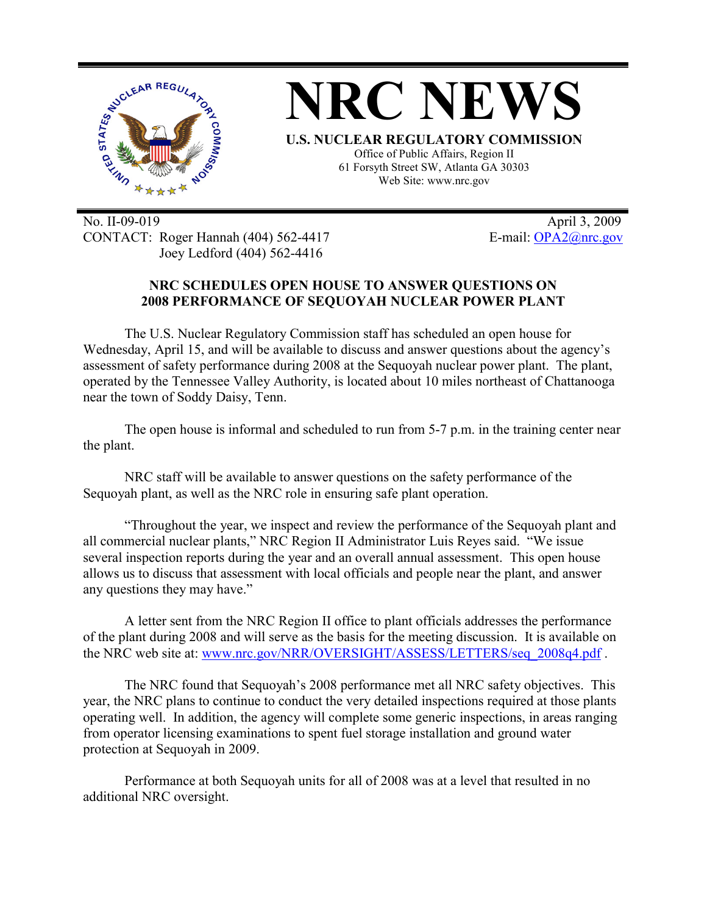

No. II-09-019 April 3, 2009 CONTACT: Roger Hannah (404) 562-4417 E-mail: OPA2@nrc.gov Joey Ledford (404) 562-4416

## **NRC SCHEDULES OPEN HOUSE TO ANSWER QUESTIONS ON 2008 PERFORMANCE OF SEQUOYAH NUCLEAR POWER PLANT**

The U.S. Nuclear Regulatory Commission staff has scheduled an open house for Wednesday, April 15, and will be available to discuss and answer questions about the agency's assessment of safety performance during 2008 at the Sequoyah nuclear power plant. The plant, operated by the Tennessee Valley Authority, is located about 10 miles northeast of Chattanooga near the town of Soddy Daisy, Tenn.

The open house is informal and scheduled to run from 5-7 p.m. in the training center near the plant.

NRC staff will be available to answer questions on the safety performance of the Sequoyah plant, as well as the NRC role in ensuring safe plant operation.

"Throughout the year, we inspect and review the performance of the Sequoyah plant and all commercial nuclear plants," NRC Region II Administrator Luis Reyes said. "We issue several inspection reports during the year and an overall annual assessment. This open house allows us to discuss that assessment with local officials and people near the plant, and answer any questions they may have."

A letter sent from the NRC Region II office to plant officials addresses the performance of the plant during 2008 and will serve as the basis for the meeting discussion. It is available on the NRC web site at: www.nrc.gov/NRR/OVERSIGHT/ASSESS/LETTERS/seq\_2008q4.pdf.

The NRC found that Sequoyah's 2008 performance met all NRC safety objectives. This year, the NRC plans to continue to conduct the very detailed inspections required at those plants operating well. In addition, the agency will complete some generic inspections, in areas ranging from operator licensing examinations to spent fuel storage installation and ground water protection at Sequoyah in 2009.

Performance at both Sequoyah units for all of 2008 was at a level that resulted in no additional NRC oversight.